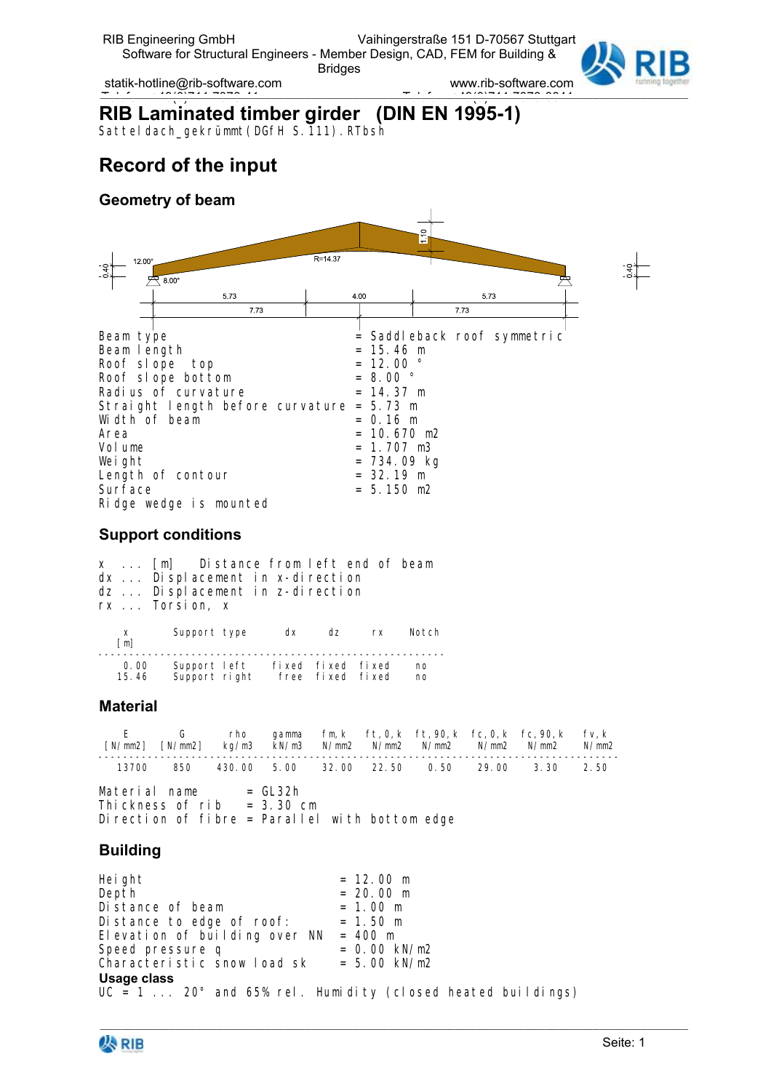

**Bridges** 



statik-hotline@rib-software.com www.rib-software.com

### **RIB Laminated timber girder (DIN EN 1995-1)** Telefon: +49(0)711 7873-41 Telefax: +49(0)711 7873-8841 ——————————————————————————————————————————————————————————————————————————————————————

Sattel dach\_gekrümmt(DGfH S.111).RTbsh

# **Record of the input**

# **Geometry of beam**



## **Support conditions**

|                               | x  [m] Distance from left end of beam |                                |       |       |
|-------------------------------|---------------------------------------|--------------------------------|-------|-------|
|                               | dx  Displacement in x-direction       |                                |       |       |
|                               | dz  Displacement in z-direction       |                                |       |       |
|                               | rx  Torsion, x                        |                                |       |       |
| $\times$<br>$\lceil m \rceil$ | Support type                          | dx                             | dz rx | Notch |
| 0.00                          |                                       | Support left fixed fixed fixed |       | no    |
| 15.46                         |                                       | Support right free fixed fixed |       | no    |

## **Material**

|       | $[N/mm2]$ $[N/mm2]$ kg/m3 kN/m3 N/mm2 N/mm2 N/mm2 | rho                     |  |  | gamma $fm, k$ ft. 0, k ft. 90, k fc. 0, k fc. 90, k fv. k<br>N/mm2 N/mm2 | N/mm2 |
|-------|---------------------------------------------------|-------------------------|--|--|--------------------------------------------------------------------------|-------|
| 13700 | 850                                               | 430.00 5.00 32.00 22.50 |  |  | 0.50 29.00 3.30                                                          | 2.50  |

Material name  $= GL32h$ Thickness of rib  $= 3.30$  cm Direction of fibre = Parallel with bottom edge

# **Building**

 $Hei ght$  = 12.00 m<br>Depth = 20.00 m  $= 20.00$  m Distance of beam  $= 1.00 \text{ m}$ <br>Distance to edge of roof:  $= 1.50 \text{ m}$ Distance to edge of roof:  $= 1.50$  m<br>Elevation of building over NN  $= 400$  m Elevation of building over NN =  $400$  m<br>Speed pressure q =  $0.00$  kN/m2 Speed pressure q  $= 0.00 \text{ kN/m2}$ <br>Characteristic snow load sk  $= 5.00 \text{ kN/m2}$ Characteristic snow load sk **Usage class**  $UC = 1$ ... 20° and 65% rel. Humidity (closed heated buildings)

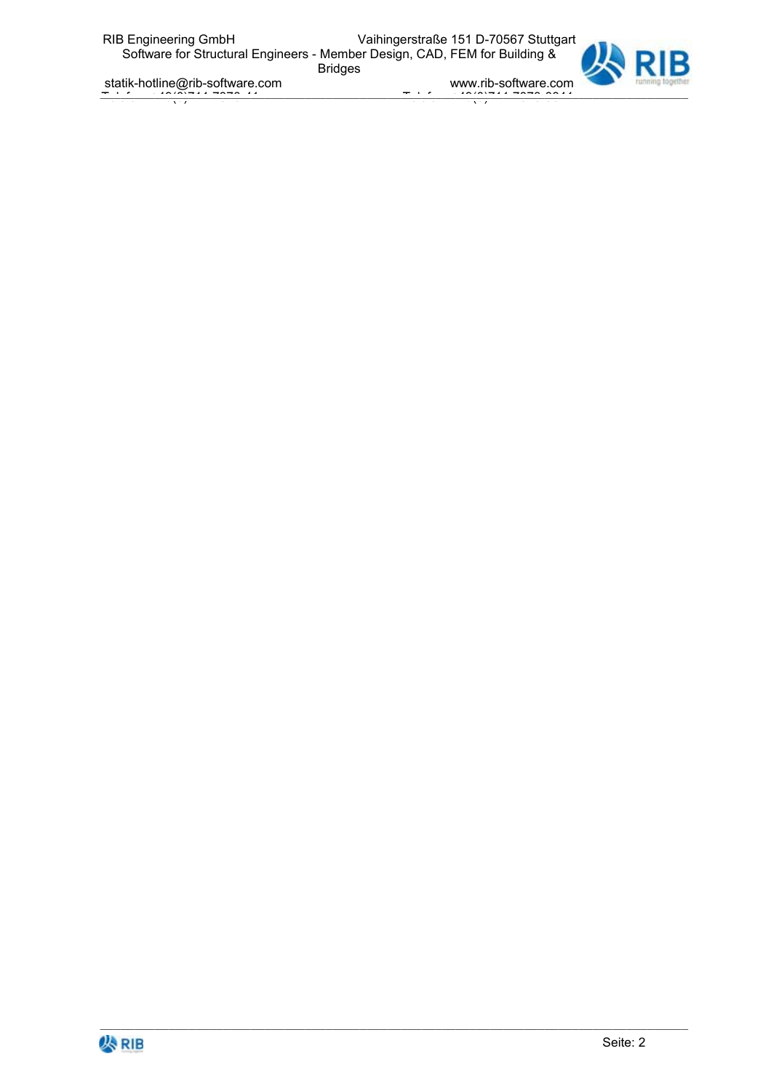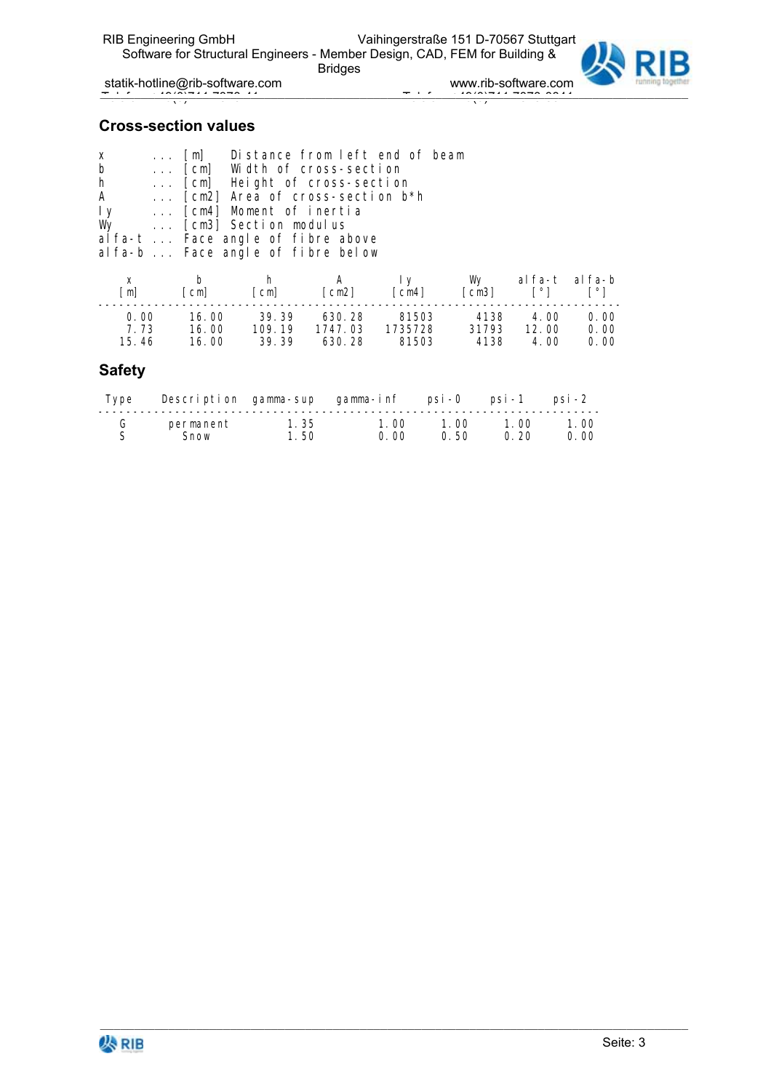| <b>RIB Engineering GmbH</b>     | Vaihingerstraße 151 D-70567 Stuttgart                                                        |               |
|---------------------------------|----------------------------------------------------------------------------------------------|---------------|
|                                 | Software for Structural Engineers - Member Design, CAD, FEM for Building &<br><b>Bridges</b> | <b>!! RIB</b> |
| statik-hotline@rib-software.com | www.rib-software.com                                                                         |               |
|                                 |                                                                                              |               |

# **Cross-section values**

| X.  |  | [m] Distance from left end of beam        |  |  |  |
|-----|--|-------------------------------------------|--|--|--|
| b   |  | [cm] Width of cross-section               |  |  |  |
| h.  |  | [cm] Height of cross-section              |  |  |  |
|     |  | A  [cm2] Area of cross-section b*h        |  |  |  |
|     |  | ly  [cm4] Moment of inertia               |  |  |  |
|     |  | Wy  [cm3] Section modulus                 |  |  |  |
|     |  | al fa-t  Face angle of fibre above        |  |  |  |
|     |  | al fa-b  Face angle of fibre below        |  |  |  |
|     |  |                                           |  |  |  |
| X — |  | b h A ly Wy alfa-talfa-b                  |  |  |  |
|     |  | $[m]$ [cm] [cm] [cm2] [cm4] [cm3] [°] [°] |  |  |  |

| $\blacksquare$        | $\blacksquare$            | $\sim$ 1 $\sim$ 111 1    | $\sim$ 1 $\sim$ 1112 1             | $\sim$ $\sim$ $\sim$ $\sim$ $\sim$ $\sim$ |               |                            |                      |
|-----------------------|---------------------------|--------------------------|------------------------------------|-------------------------------------------|---------------|----------------------------|----------------------|
| n nn<br>7.73<br>15.46 | 16. OO<br>16 OO<br>16. OO | 39.39<br>109.19<br>39.39 | 630.28 81503<br>1747.03<br>630. 28 | 1735728<br>81503                          | 31793<br>4138 | 4138 4.00<br>12 OO<br>4 OO | റ ററ<br>റ ററ<br>റ ററ |
|                       |                           |                          |                                    |                                           |               |                            |                      |

# **Safety**

| Type |           |      | Description gamma-sup gamma-inf psi-0 psi-1 psi-2 |      |       |      |
|------|-----------|------|---------------------------------------------------|------|-------|------|
|      | permanent | 1.35 | 1. OO                                             | 1 OO | 1 OO  | 1.00 |
|      | Snow      | 1.50 | 0. OO                                             | O 50 | 0. 20 | 0.00 |

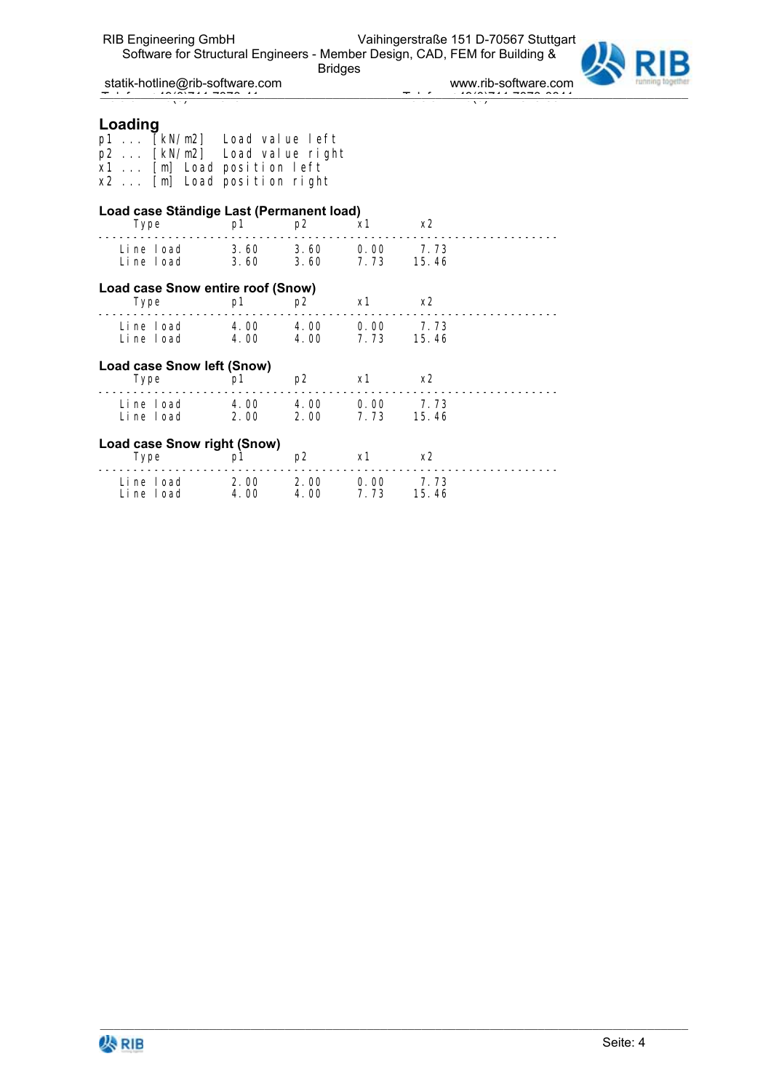| <b>RIB Engineering GmbH</b>                                                                                                         |                                             |  |                      |    | Vaihingerstraße 151 D-70567 Stuttgart<br>Software for Structural Engineers - Member Design, CAD, FEM for Building & |  |
|-------------------------------------------------------------------------------------------------------------------------------------|---------------------------------------------|--|----------------------|----|---------------------------------------------------------------------------------------------------------------------|--|
| statik-hotline@rib-software.com                                                                                                     | <b>Bridges</b>                              |  | www.rib-software.com |    |                                                                                                                     |  |
|                                                                                                                                     |                                             |  |                      |    |                                                                                                                     |  |
| Loading<br>p1  [kN/m2] Load value left<br>p2  [kN/m2] Load value right<br>x1  [m] Load position left<br>x2  [m] Load position right |                                             |  |                      |    |                                                                                                                     |  |
| Load case Ständige Last (Permanent load)<br>Type p1 p2                                                                              |                                             |  | $\times 1$           | x2 |                                                                                                                     |  |
| Line load 3.60 3.60 0.00 7.73<br>Line load 3.60 3.60 7.73 15.46                                                                     |                                             |  |                      |    |                                                                                                                     |  |
| Load case Snow entire roof (Snow)<br>Type $p1$ $p2$ $x1$ $x2$                                                                       |                                             |  |                      |    |                                                                                                                     |  |
| Line load 4.00 4.00 0.00 7.73<br>Line load 4.00 4.00 7.73 15.46                                                                     |                                             |  |                      |    |                                                                                                                     |  |
| Load case Snow left (Snow)                                                                                                          |                                             |  | p2 x1 x2             |    |                                                                                                                     |  |
| Line load 4.00 4.00 0.00 7.73<br>Line load 2.00 2.00 7.73 15.46                                                                     |                                             |  |                      |    |                                                                                                                     |  |
| Load case Snow right (Snow)<br>Type <b>The Communist Strutt</b>                                                                     | p1                                          |  | p2 x1 x2             |    |                                                                                                                     |  |
| Line load<br>Line load                                                                                                              | 2.00 2.00 0.00 7.73<br>4.00 4.00 7.73 15.46 |  |                      |    |                                                                                                                     |  |

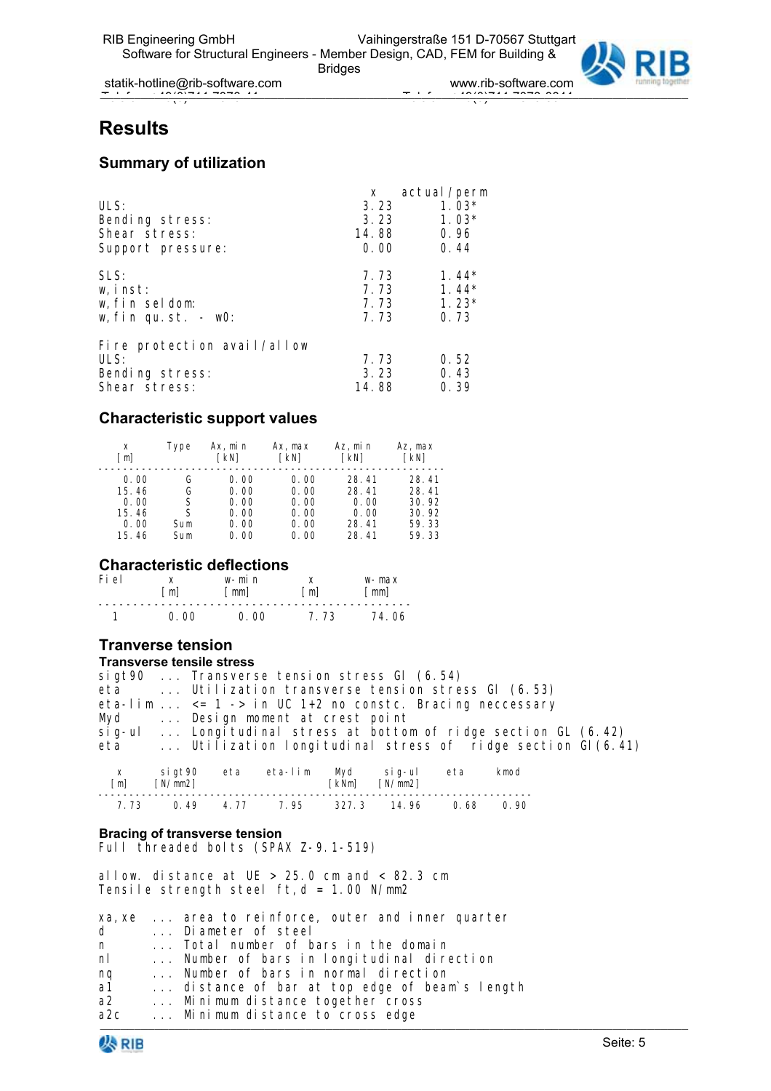

# **Results**

# **Summary of utilization**

|                             | X     | actual/perm |
|-----------------------------|-------|-------------|
| ULS:                        | 3.23  | $1.03*$     |
| Bending stress:             | 3.23  | $1.03*$     |
| Shear stress:               | 14.88 | 0.96        |
| Support pressure:           | 0.00  | 0.44        |
| SLS:                        | 7.73  | $1.44*$     |
| w, inst:                    | 7.73  | $1.44*$     |
| w, fin seldom:              | 7.73  | $1.23*$     |
| $w$ , fin qu. st. - $w0$ :  | 7.73  | 0.73        |
| Fire protection avail/allow |       |             |
| ULS:                        | 7.73  | 0.52        |
| Bending stress:             | 3.23  | 0.43        |
| Shear stress:               | 14.88 | 0.39        |

# **Characteristic support values**

| X     | Type | Ax, min | Ax, max | Az, min | Az, max |
|-------|------|---------|---------|---------|---------|
| [m]   |      | [kN]    | [kN]    | [kN]    | FKN1    |
| 0.00  | G    | 0.00    | 0.00    | 28.41   | 28.41   |
| 15.46 | G    | 0.00    | 0.00    | 28.41   | 28.41   |
| 0.00  | S    | 0.00    | 0.00    | 0.00    | 30.92   |
| 15.46 | S    | 0.00    | 0.00    | 0.00    | 30.92   |
| 0.00  | Sum  | 0.00    | 0.00    | 28.41   | 59.33   |
| 15.46 | Sum  | 0.00    | 0.00    | 28.41   | 59.33   |

## **Characteristic deflections**

| Fi el | [m]   | w-min<br>$\lceil$ mm $\rceil$ | x<br>$\lceil m \rceil$ | w-max<br>$\lceil$ mm $\rceil$ |
|-------|-------|-------------------------------|------------------------|-------------------------------|
|       | 0. OO | 0.00                          | 7 73                   | 74.06                         |

# **Tranverse tension**

#### **Transverse tensile stress**

|  | sigt90  Transverse tension stress GI (6.54)                         |
|--|---------------------------------------------------------------------|
|  | eta  Utilization transverse tension stress GI (6.53)                |
|  | eta-lim $\ldots$ <= 1 -> in UC 1+2 no constc. Bracing neccessary    |
|  | Myd  Design moment at crest point                                   |
|  | $sig-ul$ Longitudinal stress at bottom of ridge section GL $(6.42)$ |
|  | eta  Utilization longitudinal stress of ridge section GI (6.41)     |

| [m]  | si gt90<br>N/mm21 | eta | eta-lim               | Myd sig-ul<br>[kNm] [N/mm2] | eta  | kmod |
|------|-------------------|-----|-----------------------|-----------------------------|------|------|
| 7.73 | $\bigcap$ 49      |     | 4.77 7.95 327.3 14.96 |                             | 0.68 | 0.90 |

#### **Bracing of transverse tension**

Full threaded bolts (SPAX Z-9.1-519)

allow. distance at UE > 25.0 cm and < 82.3 cm Tensile strength steel ft,d = 1.00 N/mm2

|                  | xa, xe  area to reinforce, outer and inner quarter |
|------------------|----------------------------------------------------|
| d l              | Diameter of steel                                  |
| n                | Total number of bars in the domain                 |
| nl               | Number of bars in longitudinal direction           |
| ng               | Number of bars in normal direction                 |
| a1               | distance of bar at top edge of beam's length       |
| a2               | Minimum distance together cross                    |
| a <sub>2</sub> c | Minimum distance to cross edge                     |
|                  |                                                    |

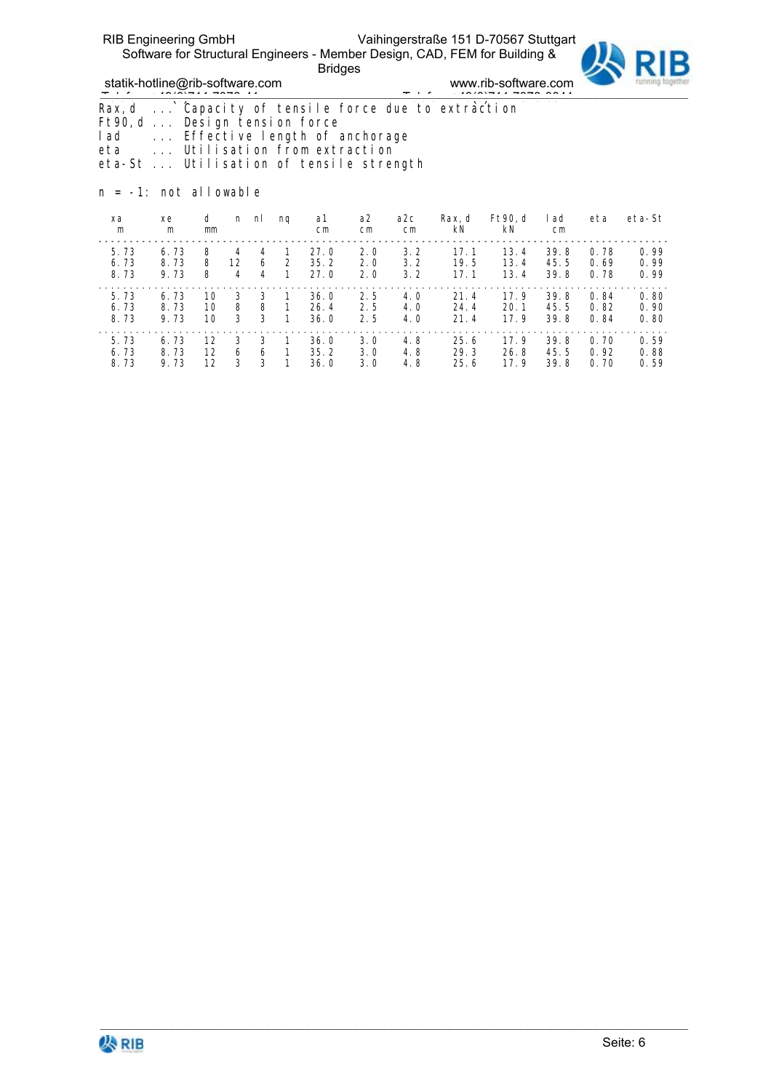| <b>RIB Engineering GmbH</b> | Vaihingerstraße 151 D-70567 Stuttgart |  |
|-----------------------------|---------------------------------------|--|
|                             |                                       |  |

Software for Structural Engineers - Member Design, CAD, FEM for Building & Bridges

**RIB** 

statik-hotline@rib-software.com www.rib-software.com Telefon: +49(0)711 7873-41 Telefax: +49(0)711 7873-8841 ——————————————————————————————————————————————————————————————————————————————————————

Rax,d ... Capacity of tensile force due to extraction Ft90,d ... Design tension force lad ... Effective length of anchorage eta ... Utilisation from extraction

eta-St ... Utilisation of tensile strength

n = -1: not allowable

| xa<br>m              | xe<br>m              | d<br>mm        | n           | nl          | na | a1<br>$cm$           | a2<br>сm          | a2c<br>Cm          | Rax, d<br>kΝ         | Ft90, d<br>kΝ        | l ad<br>CM.               | eta                       | eta-St               |
|----------------------|----------------------|----------------|-------------|-------------|----|----------------------|-------------------|--------------------|----------------------|----------------------|---------------------------|---------------------------|----------------------|
| 5.73                 | 6.73                 | 8              | 4           | 4           | 2  | 27.0                 | 2.0               | 3.2                | 17.1                 | 13.4                 | 39.8                      | 0.78                      | 0.99                 |
| 6.73                 | 8.73                 | 8              | 12          | 6           |    | 35.2                 | 2.0               | 3.2                | 19.5                 | 13.4                 | 45.5                      | 0.69                      | 0.99                 |
| 8.73                 | 9.73                 | 8              | 4           | 4           |    | 27.0                 | 2.0               | 3.2                | 17.1                 | 13.4                 | 39.8                      | 0.78                      | 0.99                 |
| 5.73<br>6.73<br>8.73 | 6.73<br>8.73<br>9.73 | 10<br>10<br>10 | 3<br>8<br>3 | 3<br>8<br>3 |    | 36.0<br>26.4<br>36.0 | 2.5<br>2.5<br>2.5 | 4. 0<br>4.0<br>4.0 | 21.4<br>24.4<br>21.4 | 17.9<br>20.1<br>17.9 | .<br>39.8<br>45.5<br>39.8 | .<br>0.84<br>0.82<br>0.84 | 0.80<br>0.90<br>0.80 |
| 5.73                 | 6.73                 | 12             | 3           | 3           |    | 36. $\Omega$         | 3. 0              | 4.8                | 25.6                 | 17.9                 | 39.8                      | 0.70                      | 0.59                 |
| 6.73                 | 8.73                 | 12             | 6           | 6           |    | 35.2                 | 3.0               | 4.8                | 29.3                 | 26.8                 | 45.5                      | 0.92                      | 0.88                 |
| 8.73                 | 9.73                 | 12             | 3           | 3           |    | 36.0                 | 3.0               | 4.8                | 25.6                 | 17.9                 | 39.8                      | 0.70                      | 0.59                 |

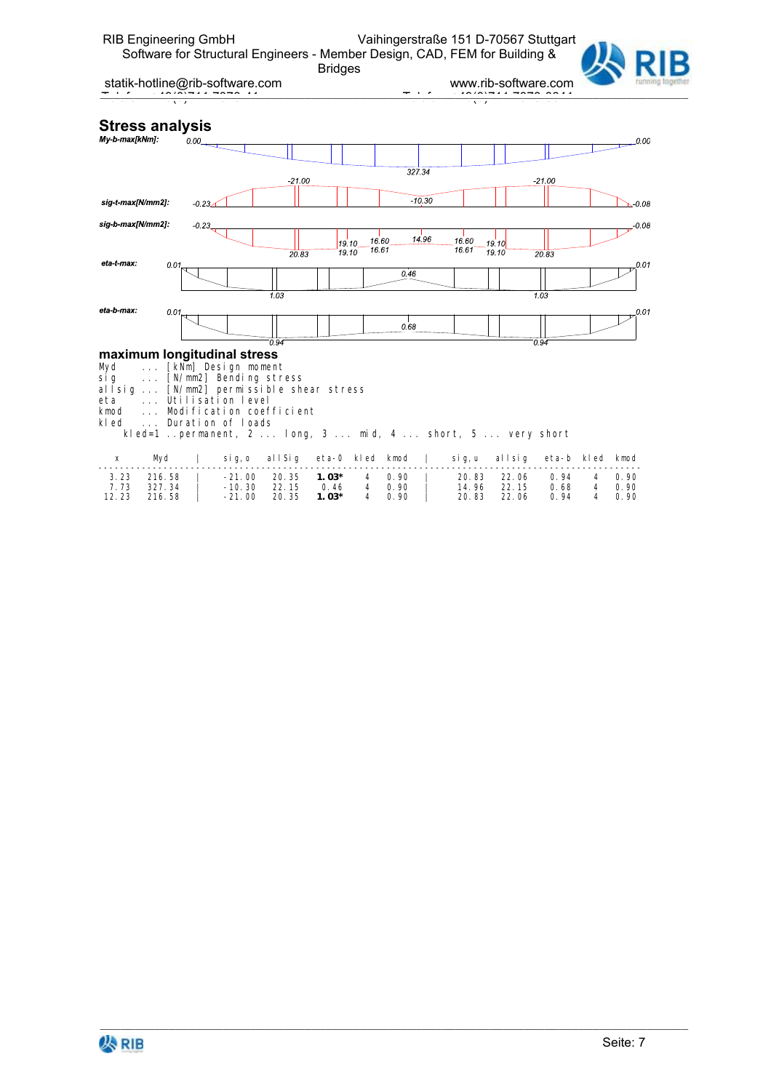

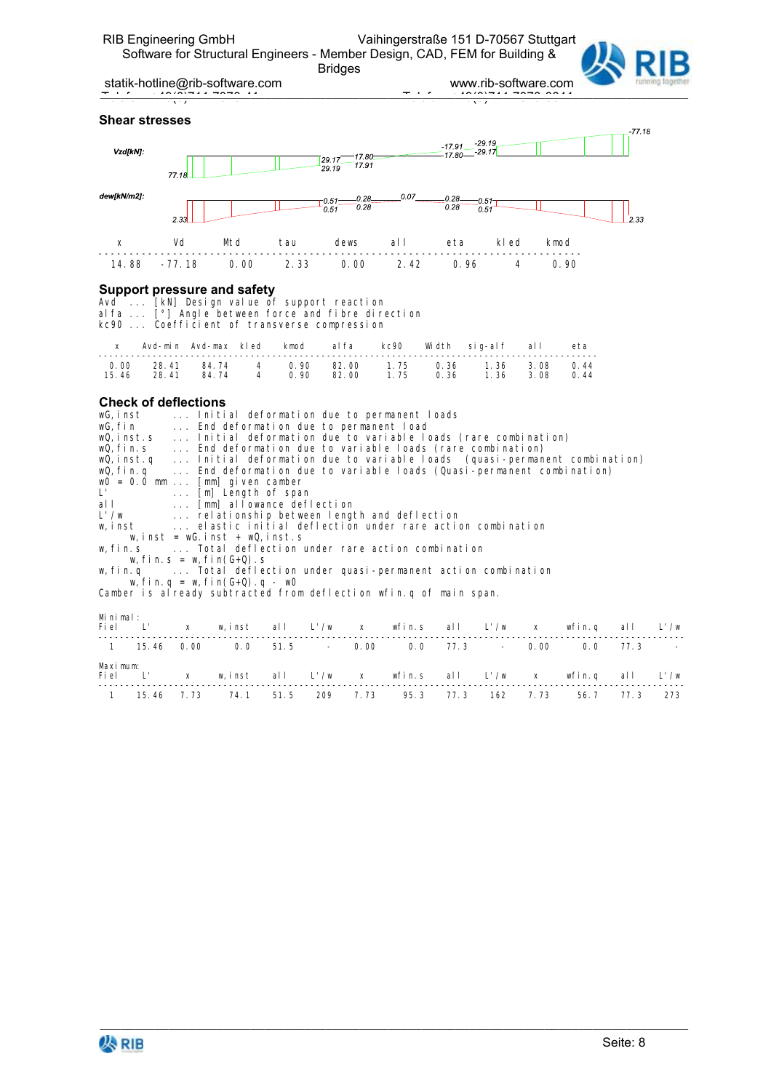

Bridges

statik-hotline@rib-software.com www.rib-software.com



#### **Shear stresses**



#### **Support pressure and safety**

Avd ... [kN] Design value of support reaction

alfa ... [°] Angle between force and fibre direction

kc90 ... Coefficient of transverse compression

|             | x Avd-min Avd-max kled |  |  | kmod alfa kc90 Width siq-alf all                                                                 | eta  |
|-------------|------------------------|--|--|--------------------------------------------------------------------------------------------------|------|
| 15.46 28.41 |                        |  |  | 0.00 28.41 84.74 4 0.90 82.00 1.75 0.36 1.36 3.08 0.44<br>84.74 4 0.90 82.00 1.75 0.36 1.36 3.08 | 0.44 |

#### **Check of deflections**

| wG, inst       |               |                                         | Initial deformation due to permanent loads                                |      |            |              |                   |      |                 |              |        |      |         |
|----------------|---------------|-----------------------------------------|---------------------------------------------------------------------------|------|------------|--------------|-------------------|------|-----------------|--------------|--------|------|---------|
| wG, fin        |               |                                         | End deformation due to permanent load                                     |      |            |              |                   |      |                 |              |        |      |         |
| wQ, inst.s     |               |                                         | Initial deformation due to variable loads (rare combination)              |      |            |              |                   |      |                 |              |        |      |         |
|                | wQ, fin.s     | $\sim 100$ km s $^{-1}$                 | End deformation due to variable loads (rare combination)                  |      |            |              |                   |      |                 |              |        |      |         |
|                | wQ,inst.q     | $\mathcal{L}(\mathcal{L}(\mathcal{L}))$ | Initial deformation due to variable loads (quasi-permanent combination)   |      |            |              |                   |      |                 |              |        |      |         |
|                | $wQ, f$ in.q. |                                         | End deformation due to variable loads (Quasi-permanent combination)       |      |            |              |                   |      |                 |              |        |      |         |
|                | $w0 = 0.0$ mm |                                         | [mm] given camber                                                         |      |            |              |                   |      |                 |              |        |      |         |
| $L^*$          |               |                                         | [m] Length of span                                                        |      |            |              |                   |      |                 |              |        |      |         |
|                |               |                                         | all [mm] allowance deflection                                             |      |            |              |                   |      |                 |              |        |      |         |
|                | $L'$ /w       |                                         | relationship between length and deflection                                |      |            |              |                   |      |                 |              |        |      |         |
|                |               |                                         | w, inst  elastic initial deflection under rare action combination         |      |            |              |                   |      |                 |              |        |      |         |
|                |               |                                         | $w$ , inst = $wG$ . inst + $wQ$ , inst. s                                 |      |            |              |                   |      |                 |              |        |      |         |
|                |               |                                         | w, fin.s  Total deflection under rare action combination                  |      |            |              |                   |      |                 |              |        |      |         |
|                |               |                                         | w, fin. $s = w$ , fin( $G+Q$ ). s                                         |      |            |              |                   |      |                 |              |        |      |         |
|                |               |                                         | $w_i$ , fin. q  Total deflection under quasi-permanent action combination |      |            |              |                   |      |                 |              |        |      |         |
|                |               |                                         | w, fin. $q = w$ , fin(G+Q). $q - w0$                                      |      |            |              |                   |      |                 |              |        |      |         |
|                |               |                                         | Camber is already subtracted from deflection wfin.q of main span.         |      |            |              |                   |      |                 |              |        |      |         |
|                |               |                                         |                                                                           |      |            |              |                   |      |                 |              |        |      |         |
| Mi ni mal:     |               |                                         |                                                                           |      |            |              |                   |      |                 |              |        |      |         |
| Fiel           | . L'          | $\mathsf{X}$                            | w, i nst                                                                  |      |            |              | all L'/w x wfin.s |      |                 | all L'/w x   | wfin.q | all  | $L'$ /w |
| $\overline{1}$ | 15.46         | 0.00                                    | 0.0                                                                       | 51.5 | $\sim$ $-$ | 0.00         | 0.0               | 77.3 | $\sim$ 10 $\pm$ | 0.00         | 0.0    | 77.3 |         |
| Maximum:       |               |                                         |                                                                           |      |            |              |                   |      |                 |              |        |      |         |
| Fiel           | - L'          | $\times$                                | w,inst                                                                    | all  | L'/w       | $\mathsf{X}$ | wfin.s            | all  | L'/w            | $\mathsf{X}$ | wfin.q | al I | L'/w    |
| $\overline{1}$ | 15.46         | 7.73                                    | 74.1                                                                      | 51.5 | 209        | 7.73         | 95.3              | 77.3 | 162             | 7.73         | 56.7   | 77.3 | 273     |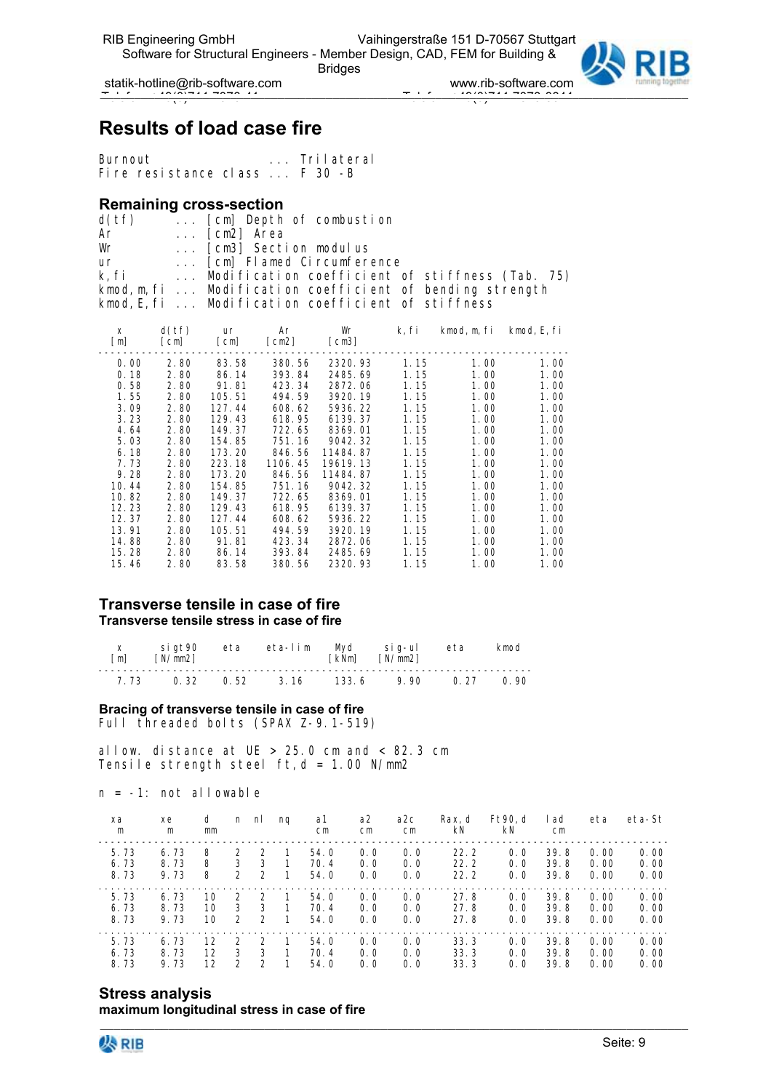Telefon: +49(0)711 7873-41 Telefax: +49(0)711 7873-8841 ——————————————————————————————————————————————————————————————————————————————————————



**Results of load case fire**

Burnout ... Trilateral Fire resistance class ... F 30 -B

### **Remaining cross-section**

| d(tf) | [cm] Depth of combustion                                 |
|-------|----------------------------------------------------------|
| Ar    | [cm2] Area                                               |
| Wr    | [cm3] Section modulus                                    |
| ur    | [cm] Flamed Circumference                                |
| k, fi | Modification coefficient of stiffness (Tab. 75)          |
|       | kmod, m, fi Modification coefficient of bending strength |
|       | kmod, E, fi Modification coefficient of stiffness        |

| X<br>$\lceil m \rceil$ | d(tf)<br>$\lceil$ Cm $\rceil$ | ur<br>[cm] | Ar<br>$\lceil \text{cm2} \rceil$ | Wr<br>$\lceil \text{cm}3 \rceil$ | k, fi | kmod, m, fi | kmod, E, fi |
|------------------------|-------------------------------|------------|----------------------------------|----------------------------------|-------|-------------|-------------|
| 0.00                   | 2.80                          | 83.58      | 380.56                           | 2320.93                          | 1.15  | 1.00        | 1.00        |
| 0.18                   | 2.80                          | 86.14      | 393.84                           | 2485.69                          | 1.15  | 1.00        | 1.00        |
| 0.58                   | 2.80                          | 91.81      | 423.34                           | 2872.06                          | 1.15  | 1.00        | 1.00        |
| 1.55                   | 2.80                          | 105.51     | 494.59                           | 3920.19                          | 1.15  | 1.00        | 1.00        |
| 3.09                   | 2.80                          | 127.44     | 608.62                           | 5936.22                          | 1.15  | 1.00        | 1.00        |
| 3.23                   | 2.80                          | 129.43     | 618.95                           | 6139.37                          | 1.15  | 1.00        | 1.00        |
| 4.64                   | 2.80                          | 149.37     | 722.65                           | 8369.01                          | 1.15  | 1.00        | 1.00        |
| 5.03                   | 2.80                          | 154.85     | 751.16                           | 9042.32                          | 1.15  | 1.00        | 1.00        |
| 6.18                   | 2.80                          | 173.20     | 846.56                           | 11484.87                         | 1.15  | 1.00        | 1.00        |
| 7.73                   | 2.80                          | 223.18     | 1106, 45                         | 19619, 13                        | 1.15  | 1.00        | 1.00        |
| 9.28                   | 2.80                          | 173.20     | 846.56                           | 11484.87                         | 1.15  | 1.00        | 1.00        |
| 10.44                  | 2.80                          | 154.85     | 751.16                           | 9042.32                          | 1.15  | 1.00        | 1.00        |
| 10.82                  | 2.80                          | 149.37     | 722.65                           | 8369.01                          | 1.15  | 1.00        | 1.00        |
| 12.23                  | 2.80                          | 129.43     | 618.95                           | 6139.37                          | 1.15  | 1.00        | 1.00        |
| 12.37                  | 2.80                          | 127.44     | 608.62                           | 5936.22                          | 1.15  | 1.00        | 1.00        |
| 13.91                  | 2.80                          | 105.51     | 494.59                           | 3920.19                          | 1.15  | 1.00        | 1.00        |
| 14.88                  | 2.80                          | 91.81      | 423.34                           | 2872.06                          | 1.15  | 1.00        | 1.00        |
| 15.28                  | 2.80                          | 86.14      | 393.84                           | 2485.69                          | 1.15  | 1.00        | 1.00        |
| 15.46                  | 2.80                          | 83.58      | 380.56                           | 2320.93                          | 1.15  | 1.00        | 1.00        |

### **Transverse tensile in case of fire Transverse tensile stress in case of fire**

| [m]  | si gt90<br>[N/mm2] | eta | eta-lim              | Myd | si q-ul<br>[kNm] [N/mm2] | eta  | kmod |
|------|--------------------|-----|----------------------|-----|--------------------------|------|------|
| 7.73 | 0.32               |     | 0.52 3.16 133.6 9.90 |     |                          | O 27 | n 90 |

#### **Bracing of transverse tensile in case of fire**

Full threaded bolts (SPAX Z-9.1-519)

allow. distance at UE > 25.0 cm and < 82.3 cm Tensile strength steel ft,d = 1.00 N/mm2

 $n = -1$ : not allowable

| xa<br>m                  | xe<br>m              | đ<br>mm        | n           | nı                                  | ng | a1<br>$\mathsf{cm}$  | a2<br>Сm           | a2c<br>$\mathsf{cm}$ | Rax, d<br>kΝ         | Ft90, d<br>kΝ        | ad<br>$\mathsf{cm}$       | eta                       | eta-St               |
|--------------------------|----------------------|----------------|-------------|-------------------------------------|----|----------------------|--------------------|----------------------|----------------------|----------------------|---------------------------|---------------------------|----------------------|
| 5.73<br>6.73<br>8.73     | 6.73<br>8.73<br>9.73 | 8<br>8<br>8    | 2<br>3<br>2 | $\mathcal{P}$<br>3<br>$\mathcal{P}$ |    | 54.0<br>70.4<br>54.0 | 0.0<br>0.0<br>0.0  | 0.0<br>0.0<br>0.0    | 22.2<br>22.2<br>22.2 | 0.0<br>0.0<br>0.0    | 39.8<br>39.8<br>39.8<br>. | 0.00<br>0.00<br>0.00<br>. | 0.00<br>0.00<br>0.00 |
| 5.73<br>6.73<br>8.73     | 6.73<br>8.73<br>9.73 | 10<br>10<br>10 | 2<br>3<br>2 | ာ<br>3<br>$\mathcal{L}$             |    | 54.0<br>70.4<br>54.0 | 0.0<br>0.0<br>0.0  | 0.0<br>0.0<br>0.0    | 27.8<br>27.8<br>27.8 | 0.0<br>0.0<br>0.0    | 39.8<br>39.8<br>39.8      | 0.00<br>0.00<br>0.00      | 0.00<br>0.00<br>0.00 |
| 5.<br>73<br>6.73<br>8.73 | 6.<br>8.73<br>9.73   | 12<br>12       | 2<br>3<br>2 | っ<br>3<br>∍                         |    | 54.0<br>70.4<br>54.0 | 0.0<br>0.0<br>0. 0 | 0.0<br>0.0<br>0.0    | 33.3<br>33.3<br>33.3 | (1, 0)<br>0.0<br>0.0 | 39.8<br>39.8<br>39.8      | 0.00<br>0.00<br>0.00      | 0.00<br>0.00<br>0.00 |

### **Stress analysis**

**maximum longitudinal stress in case of fire**